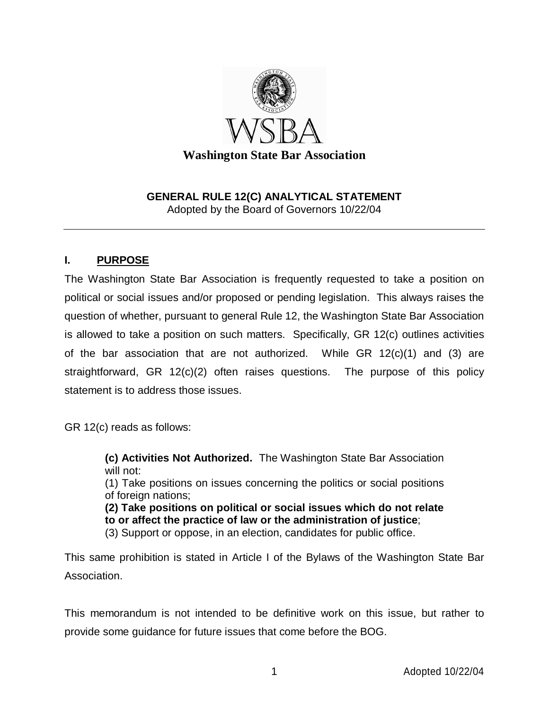

#### **GENERAL RULE 12(C) ANALYTICAL STATEMENT**  Adopted by the Board of Governors 10/22/04

### **I. PURPOSE**

The Washington State Bar Association is frequently requested to take a position on political or social issues and/or proposed or pending legislation. This always raises the question of whether, pursuant to general Rule 12, the Washington State Bar Association is allowed to take a position on such matters. Specifically, GR 12(c) outlines activities of the bar association that are not authorized. While GR 12(c)(1) and (3) are straightforward, GR 12(c)(2) often raises questions. The purpose of this policy statement is to address those issues.

GR 12(c) reads as follows:

**(c) Activities Not Authorized.** The Washington State Bar Association will not: (1) Take positions on issues concerning the politics or social positions of foreign nations; **(2) Take positions on political or social issues which do not relate to or affect the practice of law or the administration of justice**;

(3) Support or oppose, in an election, candidates for public office.

This same prohibition is stated in Article I of the Bylaws of the Washington State Bar Association.

This memorandum is not intended to be definitive work on this issue, but rather to provide some guidance for future issues that come before the BOG.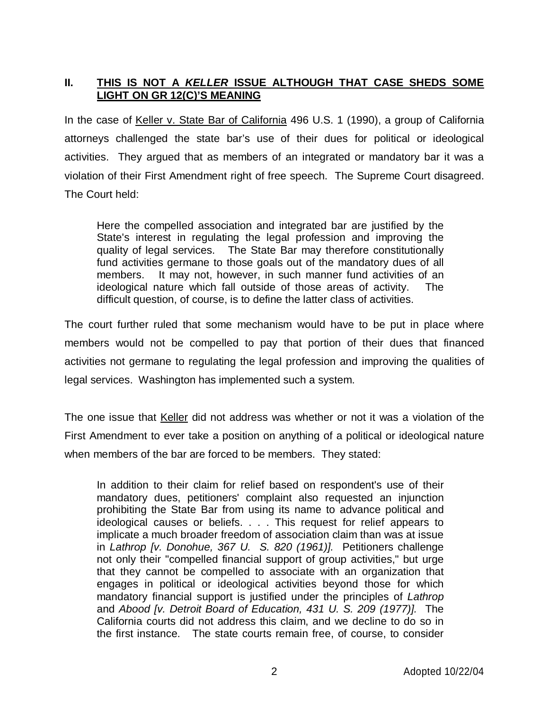### **II. THIS IS NOT A KELLER ISSUE ALTHOUGH THAT CASE SHEDS SOME LIGHT ON GR 12(C)'S MEANING**

In the case of Keller v. State Bar of California 496 U.S. 1 (1990), a group of California attorneys challenged the state bar's use of their dues for political or ideological activities. They argued that as members of an integrated or mandatory bar it was a violation of their First Amendment right of free speech. The Supreme Court disagreed. The Court held:

Here the compelled association and integrated bar are justified by the State's interest in regulating the legal profession and improving the quality of legal services. The State Bar may therefore constitutionally fund activities germane to those goals out of the mandatory dues of all members. It may not, however, in such manner fund activities of an ideological nature which fall outside of those areas of activity. The difficult question, of course, is to define the latter class of activities.

The court further ruled that some mechanism would have to be put in place where members would not be compelled to pay that portion of their dues that financed activities not germane to regulating the legal profession and improving the qualities of legal services. Washington has implemented such a system.

The one issue that Keller did not address was whether or not it was a violation of the First Amendment to ever take a position on anything of a political or ideological nature when members of the bar are forced to be members. They stated:

In addition to their claim for relief based on respondent's use of their mandatory dues, petitioners' complaint also requested an injunction prohibiting the State Bar from using its name to advance political and ideological causes or beliefs. . . . This request for relief appears to implicate a much broader freedom of association claim than was at issue in Lathrop [v. Donohue, 367 U. S. 820 (1961)]. Petitioners challenge not only their "compelled financial support of group activities," but urge that they cannot be compelled to associate with an organization that engages in political or ideological activities beyond those for which mandatory financial support is justified under the principles of Lathrop and Abood [v. Detroit Board of Education, 431 U. S. 209 (1977)]. The California courts did not address this claim, and we decline to do so in the first instance. The state courts remain free, of course, to consider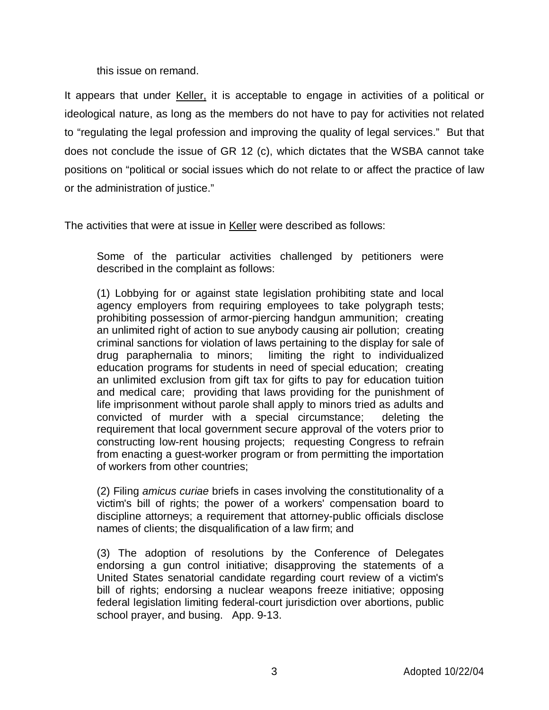this issue on remand.

It appears that under Keller, it is acceptable to engage in activities of a political or ideological nature, as long as the members do not have to pay for activities not related to "regulating the legal profession and improving the quality of legal services." But that does not conclude the issue of GR 12 (c), which dictates that the WSBA cannot take positions on "political or social issues which do not relate to or affect the practice of law or the administration of justice."

The activities that were at issue in Keller were described as follows:

Some of the particular activities challenged by petitioners were described in the complaint as follows:

(1) Lobbying for or against state legislation prohibiting state and local agency employers from requiring employees to take polygraph tests; prohibiting possession of armor-piercing handgun ammunition; creating an unlimited right of action to sue anybody causing air pollution; creating criminal sanctions for violation of laws pertaining to the display for sale of drug paraphernalia to minors; limiting the right to individualized education programs for students in need of special education; creating an unlimited exclusion from gift tax for gifts to pay for education tuition and medical care; providing that laws providing for the punishment of life imprisonment without parole shall apply to minors tried as adults and convicted of murder with a special circumstance; deleting the requirement that local government secure approval of the voters prior to constructing low-rent housing projects; requesting Congress to refrain from enacting a guest-worker program or from permitting the importation of workers from other countries;

(2) Filing amicus curiae briefs in cases involving the constitutionality of a victim's bill of rights; the power of a workers' compensation board to discipline attorneys; a requirement that attorney-public officials disclose names of clients; the disqualification of a law firm; and

(3) The adoption of resolutions by the Conference of Delegates endorsing a gun control initiative; disapproving the statements of a United States senatorial candidate regarding court review of a victim's bill of rights; endorsing a nuclear weapons freeze initiative; opposing federal legislation limiting federal-court jurisdiction over abortions, public school prayer, and busing. App. 9-13.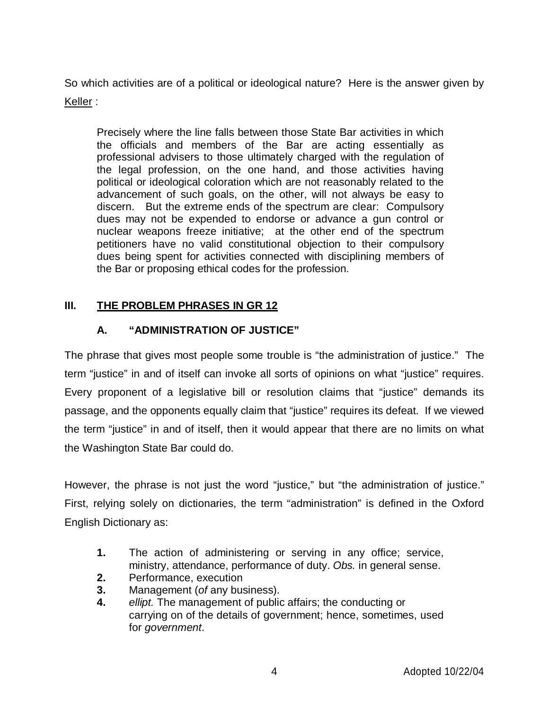So which activities are of a political or ideological nature? Here is the answer given by Keller :

Precisely where the line falls between those State Bar activities in which the officials and members of the Bar are acting essentially as professional advisers to those ultimately charged with the regulation of the legal profession, on the one hand, and those activities having political or ideological coloration which are not reasonably related to the advancement of such goals, on the other, will not always be easy to discern. But the extreme ends of the spectrum are clear: Compulsory dues may not be expended to endorse or advance a gun control or nuclear weapons freeze initiative; at the other end of the spectrum petitioners have no valid constitutional objection to their compulsory dues being spent for activities connected with disciplining members of the Bar or proposing ethical codes for the profession.

# **III. THE PROBLEM PHRASES IN GR 12**

# **A. "ADMINISTRATION OF JUSTICE"**

The phrase that gives most people some trouble is "the administration of justice." The term "justice" in and of itself can invoke all sorts of opinions on what "justice" requires. Every proponent of a legislative bill or resolution claims that "justice" demands its passage, and the opponents equally claim that "justice" requires its defeat. If we viewed the term "justice" in and of itself, then it would appear that there are no limits on what the Washington State Bar could do.

However, the phrase is not just the word "justice," but "the administration of justice." First, relying solely on dictionaries, the term "administration" is defined in the Oxford English Dictionary as:

- **1.** The action of administering or serving in any office; service, ministry, attendance, performance of duty. Obs. in general sense.
- **2.** Performance, execution
- **3.** Management (of any business).
- **4.** ellipt. The management of public affairs; the conducting or carrying on of the details of government; hence, sometimes, used for government.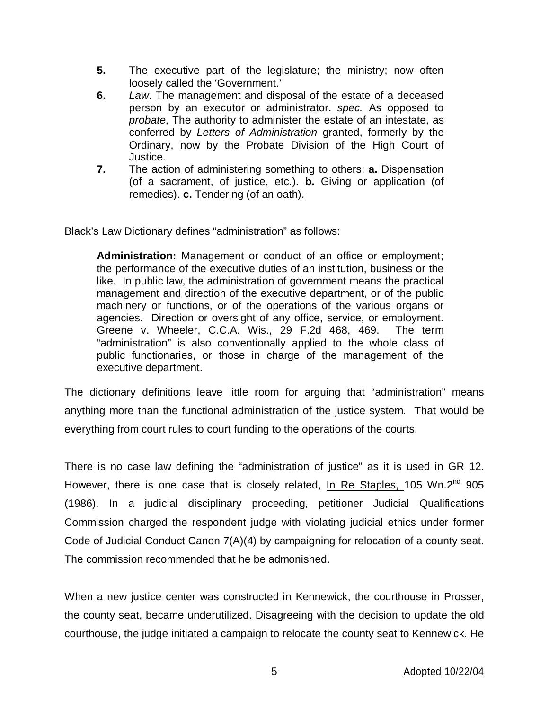- **5.** The executive part of the legislature; the ministry; now often loosely called the 'Government.'
- **6.** Law. The management and disposal of the estate of a deceased person by an executor or administrator. spec. As opposed to probate, The authority to administer the estate of an intestate, as conferred by Letters of Administration granted, formerly by the Ordinary, now by the Probate Division of the High Court of Justice.
- **7.** The action of administering something to others: **a.** Dispensation (of a sacrament, of justice, etc.). **b.** Giving or application (of remedies). **c.** Tendering (of an oath).

Black's Law Dictionary defines "administration" as follows:

**Administration:** Management or conduct of an office or employment; the performance of the executive duties of an institution, business or the like. In public law, the administration of government means the practical management and direction of the executive department, or of the public machinery or functions, or of the operations of the various organs or agencies. Direction or oversight of any office, service, or employment. Greene v. Wheeler, C.C.A. Wis., 29 F.2d 468, 469. The term "administration" is also conventionally applied to the whole class of public functionaries, or those in charge of the management of the executive department.

The dictionary definitions leave little room for arguing that "administration" means anything more than the functional administration of the justice system. That would be everything from court rules to court funding to the operations of the courts.

There is no case law defining the "administration of justice" as it is used in GR 12. However, there is one case that is closely related, In Re Staples, 105 Wn.2<sup>nd</sup> 905 (1986). In a judicial disciplinary proceeding, petitioner Judicial Qualifications Commission charged the respondent judge with violating judicial ethics under former Code of Judicial Conduct Canon 7(A)(4) by campaigning for relocation of a county seat. The commission recommended that he be admonished.

When a new justice center was constructed in Kennewick, the courthouse in Prosser, the county seat, became underutilized. Disagreeing with the decision to update the old courthouse, the judge initiated a campaign to relocate the county seat to Kennewick. He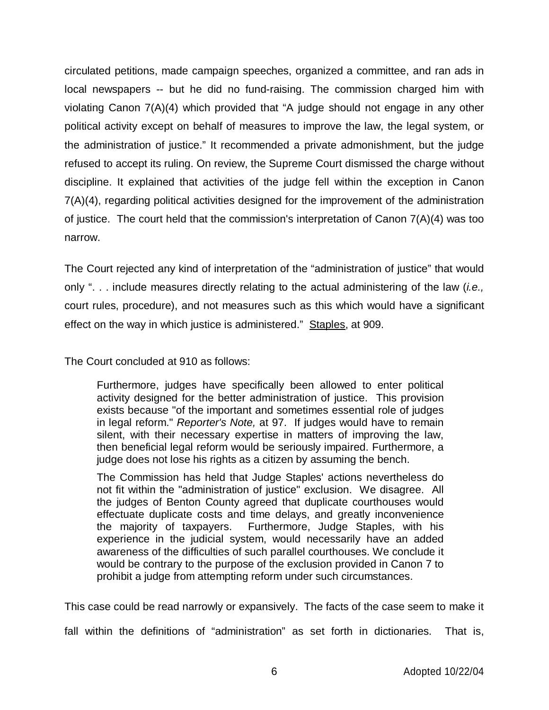circulated petitions, made campaign speeches, organized a committee, and ran ads in local newspapers -- but he did no fund-raising. The commission charged him with violating Canon 7(A)(4) which provided that "A judge should not engage in any other political activity except on behalf of measures to improve the law, the legal system, or the administration of justice." It recommended a private admonishment, but the judge refused to accept its ruling. On review, the Supreme Court dismissed the charge without discipline. It explained that activities of the judge fell within the exception in Canon 7(A)(4), regarding political activities designed for the improvement of the administration of justice. The court held that the commission's interpretation of Canon 7(A)(4) was too narrow.

The Court rejected any kind of interpretation of the "administration of justice" that would only ". . . include measures directly relating to the actual administering of the law (*i.e.*, court rules, procedure), and not measures such as this which would have a significant effect on the way in which justice is administered." Staples, at 909.

The Court concluded at 910 as follows:

Furthermore, judges have specifically been allowed to enter political activity designed for the better administration of justice. This provision exists because "of the important and sometimes essential role of judges in legal reform." Reporter's Note, at 97. If judges would have to remain silent, with their necessary expertise in matters of improving the law, then beneficial legal reform would be seriously impaired. Furthermore, a judge does not lose his rights as a citizen by assuming the bench.

The Commission has held that Judge Staples' actions nevertheless do not fit within the "administration of justice" exclusion. We disagree. All the judges of Benton County agreed that duplicate courthouses would effectuate duplicate costs and time delays, and greatly inconvenience the majority of taxpayers. Furthermore, Judge Staples, with his experience in the judicial system, would necessarily have an added awareness of the difficulties of such parallel courthouses. We conclude it would be contrary to the purpose of the exclusion provided in Canon 7 to prohibit a judge from attempting reform under such circumstances.

This case could be read narrowly or expansively. The facts of the case seem to make it

fall within the definitions of "administration" as set forth in dictionaries. That is,